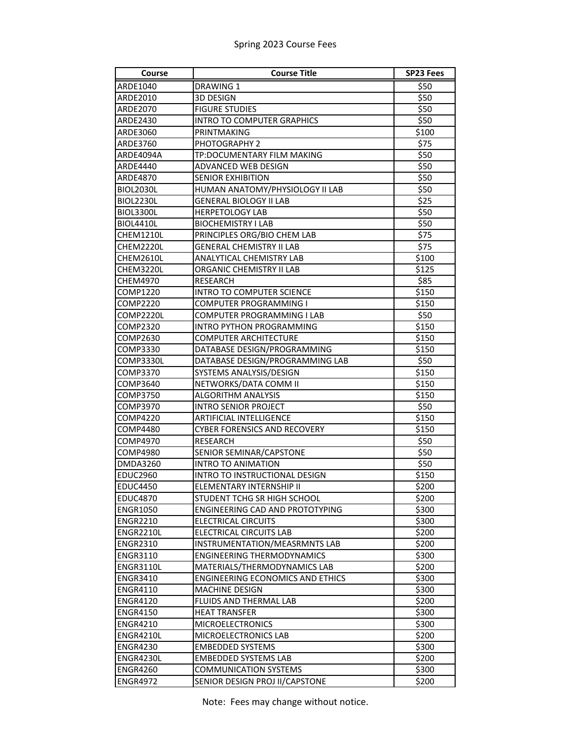## Spring 2023 Course Fees

| Course           | <b>Course Title</b>                     | <b>SP23 Fees</b> |
|------------------|-----------------------------------------|------------------|
| ARDE1040         | DRAWING 1                               | \$50             |
| ARDE2010         | <b>3D DESIGN</b>                        | \$50             |
| ARDE2070         | <b>FIGURE STUDIES</b>                   | \$50             |
| ARDE2430         | <b>INTRO TO COMPUTER GRAPHICS</b>       | \$50             |
| ARDE3060         | PRINTMAKING                             | \$100            |
| ARDE3760         | PHOTOGRAPHY 2                           | \$75             |
| ARDE4094A        | TP:DOCUMENTARY FILM MAKING              | \$50             |
| ARDE4440         | ADVANCED WEB DESIGN                     | \$50             |
| ARDE4870         | <b>SENIOR EXHIBITION</b>                | \$50             |
| <b>BIOL2030L</b> | HUMAN ANATOMY/PHYSIOLOGY II LAB         | \$50             |
| <b>BIOL2230L</b> | <b>GENERAL BIOLOGY II LAB</b>           | \$25             |
| BIOL3300L        | <b>HERPETOLOGY LAB</b>                  | \$50             |
| <b>BIOL4410L</b> | <b>BIOCHEMISTRY I LAB</b>               | \$50             |
| CHEM1210L        | PRINCIPLES ORG/BIO CHEM LAB             | \$75             |
| CHEM2220L        | <b>GENERAL CHEMISTRY II LAB</b>         | \$75             |
| CHEM2610L        | ANALYTICAL CHEMISTRY LAB                | \$100            |
| CHEM3220L        | ORGANIC CHEMISTRY II LAB                | \$125            |
| <b>CHEM4970</b>  | <b>RESEARCH</b>                         | \$85             |
| COMP1220         | <b>INTRO TO COMPUTER SCIENCE</b>        | \$150            |
| COMP2220         | COMPUTER PROGRAMMING I                  | \$150            |
| COMP2220L        | COMPUTER PROGRAMMING I LAB              | \$50             |
| COMP2320         | <b>INTRO PYTHON PROGRAMMING</b>         | \$150            |
| COMP2630         | <b>COMPUTER ARCHITECTURE</b>            | \$150            |
| COMP3330         | DATABASE DESIGN/PROGRAMMING             | \$150            |
| COMP3330L        | DATABASE DESIGN/PROGRAMMING LAB         | \$50             |
| COMP3370         | SYSTEMS ANALYSIS/DESIGN                 | \$150            |
| COMP3640         | NETWORKS/DATA COMM II                   | \$150            |
| COMP3750         | <b>ALGORITHM ANALYSIS</b>               | \$150            |
| COMP3970         | <b>INTRO SENIOR PROJECT</b>             | \$50             |
| COMP4220         | ARTIFICIAL INTELLIGENCE                 | \$150            |
| <b>COMP4480</b>  | <b>CYBER FORENSICS AND RECOVERY</b>     | \$150            |
| COMP4970         | <b>RESEARCH</b>                         | \$50             |
| <b>COMP4980</b>  | SENIOR SEMINAR/CAPSTONE                 | \$50             |
| <b>DMDA3260</b>  | <b>INTRO TO ANIMATION</b>               | \$50             |
| <b>EDUC2960</b>  | INTRO TO INSTRUCTIONAL DESIGN           | \$150            |
| <b>EDUC4450</b>  | ELEMENTARY INTERNSHIP II                | \$200            |
| EDUC4870         | STUDENT TCHG SR HIGH SCHOOL             | \$200            |
| ENGR1050         | ENGINEERING CAD AND PROTOTYPING         | \$300            |
| <b>ENGR2210</b>  | ELECTRICAL CIRCUITS                     | \$300            |
| ENGR2210L        | ELECTRICAL CIRCUITS LAB                 | \$200            |
| <b>ENGR2310</b>  | INSTRUMENTATION/MEASRMNTS LAB           | \$200            |
| <b>ENGR3110</b>  | <b>ENGINEERING THERMODYNAMICS</b>       | \$300            |
| <b>ENGR3110L</b> | MATERIALS/THERMODYNAMICS LAB            | \$200            |
| <b>ENGR3410</b>  | <b>ENGINEERING ECONOMICS AND ETHICS</b> | \$300            |
| <b>ENGR4110</b>  | <b>MACHINE DESIGN</b>                   | \$300            |
| <b>ENGR4120</b>  | <b>FLUIDS AND THERMAL LAB</b>           | \$200            |
| <b>ENGR4150</b>  | <b>HEAT TRANSFER</b>                    | \$300            |
| <b>ENGR4210</b>  | <b>MICROELECTRONICS</b>                 | \$300            |
| ENGR4210L        | MICROELECTRONICS LAB                    | \$200            |
| <b>ENGR4230</b>  | <b>EMBEDDED SYSTEMS</b>                 | \$300            |
| ENGR4230L        | <b>EMBEDDED SYSTEMS LAB</b>             | \$200            |
| <b>ENGR4260</b>  | <b>COMMUNICATION SYSTEMS</b>            | \$300            |
| <b>ENGR4972</b>  | SENIOR DESIGN PROJ II/CAPSTONE          | \$200            |

Note: Fees may change without notice.